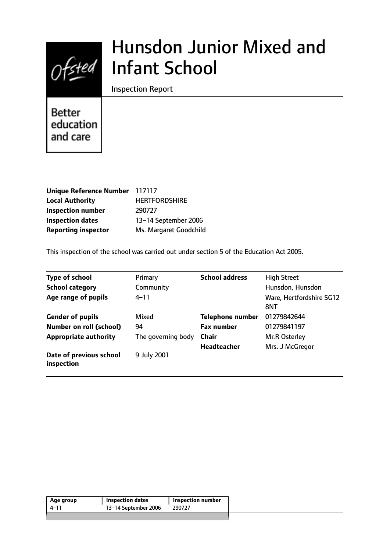

# Hunsdon Junior Mixed and Infant School

Inspection Report

**Better** education and care

| Unique Reference Number 117117 |                        |
|--------------------------------|------------------------|
| <b>Local Authority</b>         | <b>HERTFORDSHIRE</b>   |
| <b>Inspection number</b>       | 290727                 |
| <b>Inspection dates</b>        | 13-14 September 2006   |
| <b>Reporting inspector</b>     | Ms. Margaret Goodchild |

This inspection of the school was carried out under section 5 of the Education Act 2005.

| <b>Type of school</b>                 | Primary            | <b>School address</b>   | <b>High Street</b>              |
|---------------------------------------|--------------------|-------------------------|---------------------------------|
| <b>School category</b>                | Community          |                         | Hunsdon, Hunsdon                |
| Age range of pupils                   | $4 - 11$           |                         | Ware, Hertfordshire SG12<br>8NT |
| <b>Gender of pupils</b>               | Mixed              | <b>Telephone number</b> | 01279842644                     |
| <b>Number on roll (school)</b>        | 94                 | <b>Fax number</b>       | 01279841197                     |
| <b>Appropriate authority</b>          | The governing body | <b>Chair</b>            | Mr.R Osterley                   |
|                                       |                    | <b>Headteacher</b>      | Mrs. J McGregor                 |
| Date of previous school<br>inspection | 9 July 2001        |                         |                                 |

| 13–14 September 2006<br>4–11<br>290727 | Age group | <b>Inspection dates</b> | <b>Inspection number</b> |  |
|----------------------------------------|-----------|-------------------------|--------------------------|--|
|                                        |           |                         |                          |  |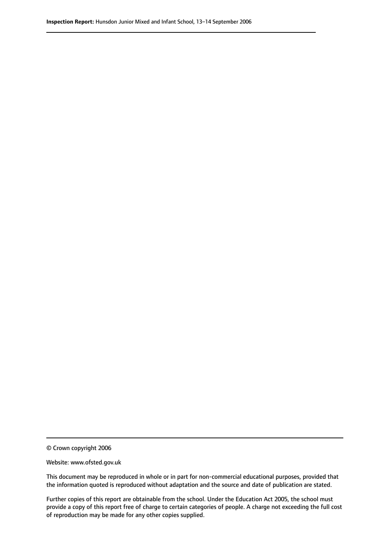© Crown copyright 2006

Website: www.ofsted.gov.uk

This document may be reproduced in whole or in part for non-commercial educational purposes, provided that the information quoted is reproduced without adaptation and the source and date of publication are stated.

Further copies of this report are obtainable from the school. Under the Education Act 2005, the school must provide a copy of this report free of charge to certain categories of people. A charge not exceeding the full cost of reproduction may be made for any other copies supplied.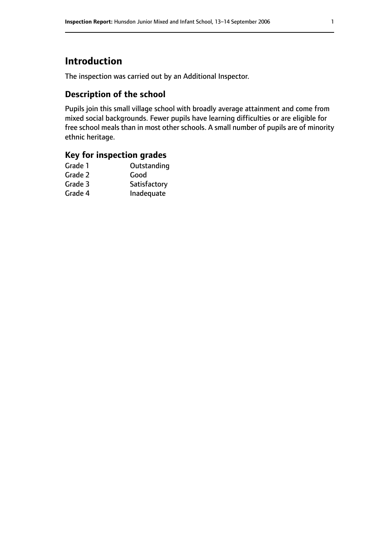# **Introduction**

The inspection was carried out by an Additional Inspector.

## **Description of the school**

Pupils join this small village school with broadly average attainment and come from mixed social backgrounds. Fewer pupils have learning difficulties or are eligible for free school meals than in most other schools. A small number of pupils are of minority ethnic heritage.

## **Key for inspection grades**

| Grade 1 | Outstanding  |
|---------|--------------|
| Grade 2 | Good         |
| Grade 3 | Satisfactory |
| Grade 4 | Inadequate   |
|         |              |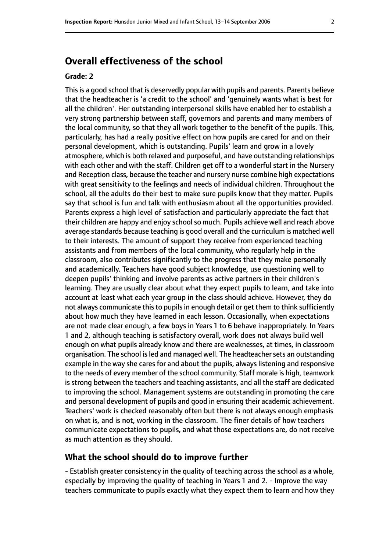## **Overall effectiveness of the school**

#### **Grade: 2**

This is a good school that is deservedly popular with pupils and parents. Parents believe that the headteacher is 'a credit to the school' and 'genuinely wants what is best for all the children'. Her outstanding interpersonal skills have enabled her to establish a very strong partnership between staff, governors and parents and many members of the local community, so that they all work together to the benefit of the pupils. This, particularly, has had a really positive effect on how pupils are cared for and on their personal development, which is outstanding. Pupils' learn and grow in a lovely atmosphere, which is both relaxed and purposeful, and have outstanding relationships with each other and with the staff. Children get off to a wonderful start in the Nursery and Reception class, because the teacher and nursery nurse combine high expectations with great sensitivity to the feelings and needs of individual children. Throughout the school, all the adults do their best to make sure pupils know that they matter. Pupils say that school is fun and talk with enthusiasm about all the opportunities provided. Parents express a high level of satisfaction and particularly appreciate the fact that their children are happy and enjoy school so much. Pupils achieve well and reach above average standards because teaching is good overall and the curriculum is matched well to their interests. The amount of support they receive from experienced teaching assistants and from members of the local community, who regularly help in the classroom, also contributes significantly to the progress that they make personally and academically. Teachers have good subject knowledge, use questioning well to deepen pupils' thinking and involve parents as active partners in their children's learning. They are usually clear about what they expect pupils to learn, and take into account at least what each year group in the class should achieve. However, they do not always communicate this to pupils in enough detail or get them to think sufficiently about how much they have learned in each lesson. Occasionally, when expectations are not made clear enough, a few boys in Years 1 to 6 behave inappropriately. In Years 1 and 2, although teaching is satisfactory overall, work does not always build well enough on what pupils already know and there are weaknesses, at times, in classroom organisation. The school is led and managed well. The headteacher sets an outstanding example in the way she cares for and about the pupils, always listening and responsive to the needs of every member of the school community. Staff morale is high, teamwork is strong between the teachers and teaching assistants, and all the staff are dedicated to improving the school. Management systems are outstanding in promoting the care and personal development of pupils and good in ensuring their academic achievement. Teachers' work is checked reasonably often but there is not always enough emphasis on what is, and is not, working in the classroom. The finer details of how teachers communicate expectations to pupils, and what those expectations are, do not receive as much attention as they should.

#### **What the school should do to improve further**

- Establish greater consistency in the quality of teaching across the school as a whole, especially by improving the quality of teaching in Years 1 and 2. - Improve the way teachers communicate to pupils exactly what they expect them to learn and how they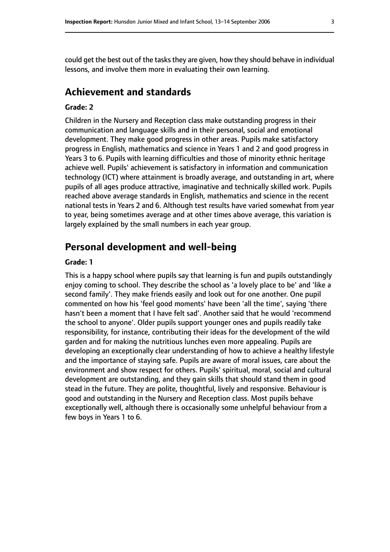could get the best out of the tasks they are given, how they should behave in individual lessons, and involve them more in evaluating their own learning.

## **Achievement and standards**

#### **Grade: 2**

Children in the Nursery and Reception class make outstanding progress in their communication and language skills and in their personal, social and emotional development. They make good progress in other areas. Pupils make satisfactory progress in English, mathematics and science in Years 1 and 2 and good progress in Years 3 to 6. Pupils with learning difficulties and those of minority ethnic heritage achieve well. Pupils' achievement is satisfactory in information and communication technology (ICT) where attainment is broadly average, and outstanding in art, where pupils of all ages produce attractive, imaginative and technically skilled work. Pupils reached above average standards in English, mathematics and science in the recent national tests in Years 2 and 6. Although test results have varied somewhat from year to year, being sometimes average and at other times above average, this variation is largely explained by the small numbers in each year group.

## **Personal development and well-being**

#### **Grade: 1**

This is a happy school where pupils say that learning is fun and pupils outstandingly enjoy coming to school. They describe the school as 'a lovely place to be' and 'like a second family'. They make friends easily and look out for one another. One pupil commented on how his 'feel good moments' have been 'all the time', saying 'there hasn't been a moment that I have felt sad'. Another said that he would 'recommend the school to anyone'. Older pupils support younger ones and pupils readily take responsibility, for instance, contributing their ideas for the development of the wild garden and for making the nutritious lunches even more appealing. Pupils are developing an exceptionally clear understanding of how to achieve a healthy lifestyle and the importance of staying safe. Pupils are aware of moral issues, care about the environment and show respect for others. Pupils' spiritual, moral, social and cultural development are outstanding, and they gain skills that should stand them in good stead in the future. They are polite, thoughtful, lively and responsive. Behaviour is good and outstanding in the Nursery and Reception class. Most pupils behave exceptionally well, although there is occasionally some unhelpful behaviour from a few boys in Years 1 to 6.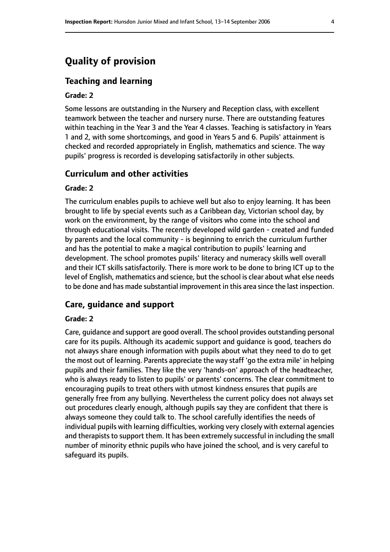## **Quality of provision**

#### **Teaching and learning**

#### **Grade: 2**

Some lessons are outstanding in the Nursery and Reception class, with excellent teamwork between the teacher and nursery nurse. There are outstanding features within teaching in the Year 3 and the Year 4 classes. Teaching is satisfactory in Years 1 and 2, with some shortcomings, and good in Years 5 and 6. Pupils' attainment is checked and recorded appropriately in English, mathematics and science. The way pupils' progress is recorded is developing satisfactorily in other subjects.

#### **Curriculum and other activities**

#### **Grade: 2**

The curriculum enables pupils to achieve well but also to enjoy learning. It has been brought to life by special events such as a Caribbean day, Victorian school day, by work on the environment, by the range of visitors who come into the school and through educational visits. The recently developed wild garden - created and funded by parents and the local community - is beginning to enrich the curriculum further and has the potential to make a magical contribution to pupils' learning and development. The school promotes pupils' literacy and numeracy skills well overall and their ICT skills satisfactorily. There is more work to be done to bring ICT up to the level of English, mathematics and science, but the school is clear about what else needs to be done and has made substantial improvement in this area since the last inspection.

#### **Care, guidance and support**

#### **Grade: 2**

Care, guidance and support are good overall. The school provides outstanding personal care for its pupils. Although its academic support and guidance is good, teachers do not always share enough information with pupils about what they need to do to get the most out of learning. Parents appreciate the way staff 'go the extra mile' in helping pupils and their families. They like the very 'hands-on' approach of the headteacher, who is always ready to listen to pupils' or parents' concerns. The clear commitment to encouraging pupils to treat others with utmost kindness ensures that pupils are generally free from any bullying. Nevertheless the current policy does not always set out procedures clearly enough, although pupils say they are confident that there is always someone they could talk to. The school carefully identifies the needs of individual pupils with learning difficulties, working very closely with external agencies and therapists to support them. It has been extremely successful in including the small number of minority ethnic pupils who have joined the school, and is very careful to safeguard its pupils.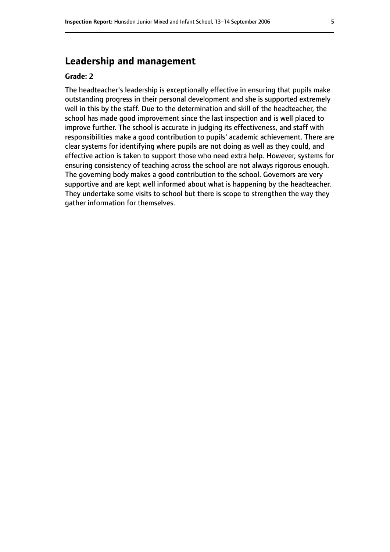## **Leadership and management**

#### **Grade: 2**

The headteacher's leadership is exceptionally effective in ensuring that pupils make outstanding progress in their personal development and she is supported extremely well in this by the staff. Due to the determination and skill of the headteacher, the school has made good improvement since the last inspection and is well placed to improve further. The school is accurate in judging its effectiveness, and staff with responsibilities make a good contribution to pupils' academic achievement. There are clear systems for identifying where pupils are not doing as well as they could, and effective action is taken to support those who need extra help. However, systems for ensuring consistency of teaching across the school are not always rigorous enough. The governing body makes a good contribution to the school. Governors are very supportive and are kept well informed about what is happening by the headteacher. They undertake some visits to school but there is scope to strengthen the way they gather information for themselves.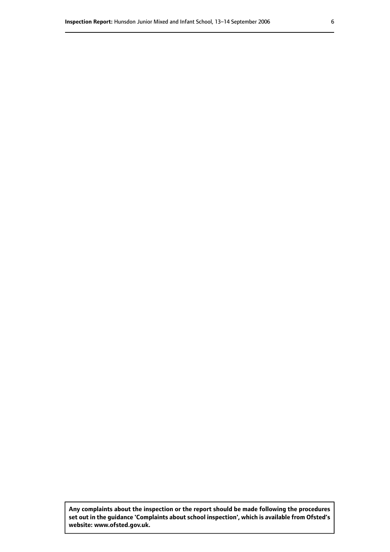**Any complaints about the inspection or the report should be made following the procedures set out inthe guidance 'Complaints about school inspection', whichis available from Ofsted's website: www.ofsted.gov.uk.**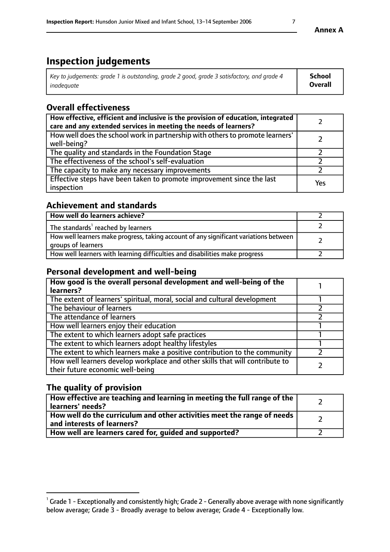# **Inspection judgements**

| Key to judgements: grade 1 is outstanding, grade 2 good, grade 3 satisfactory, and grade 4 | School         |
|--------------------------------------------------------------------------------------------|----------------|
| inadeauate                                                                                 | <b>Overall</b> |

## **Overall effectiveness**

| How effective, efficient and inclusive is the provision of education, integrated<br>care and any extended services in meeting the needs of learners? |     |
|------------------------------------------------------------------------------------------------------------------------------------------------------|-----|
| How well does the school work in partnership with others to promote learners'<br>well-being?                                                         |     |
| The quality and standards in the Foundation Stage                                                                                                    |     |
| The effectiveness of the school's self-evaluation                                                                                                    |     |
| The capacity to make any necessary improvements                                                                                                      |     |
| Effective steps have been taken to promote improvement since the last<br>inspection                                                                  | Yes |

## **Achievement and standards**

| How well do learners achieve?                                                                               |  |
|-------------------------------------------------------------------------------------------------------------|--|
| The standards <sup>1</sup> reached by learners                                                              |  |
| How well learners make progress, taking account of any significant variations between<br>groups of learners |  |
| How well learners with learning difficulties and disabilities make progress                                 |  |

## **Personal development and well-being**

| How good is the overall personal development and well-being of the<br>learners?                                  |  |
|------------------------------------------------------------------------------------------------------------------|--|
| The extent of learners' spiritual, moral, social and cultural development                                        |  |
| The behaviour of learners                                                                                        |  |
| The attendance of learners                                                                                       |  |
| How well learners enjoy their education                                                                          |  |
| The extent to which learners adopt safe practices                                                                |  |
| The extent to which learners adopt healthy lifestyles                                                            |  |
| The extent to which learners make a positive contribution to the community                                       |  |
| How well learners develop workplace and other skills that will contribute to<br>their future economic well-being |  |

## **The quality of provision**

| How effective are teaching and learning in meeting the full range of the<br>learners' needs?          |  |
|-------------------------------------------------------------------------------------------------------|--|
| How well do the curriculum and other activities meet the range of needs<br>and interests of learners? |  |
| How well are learners cared for, guided and supported?                                                |  |

## **Annex A**

 $^1$  Grade 1 - Exceptionally and consistently high; Grade 2 - Generally above average with none significantly below average; Grade 3 - Broadly average to below average; Grade 4 - Exceptionally low.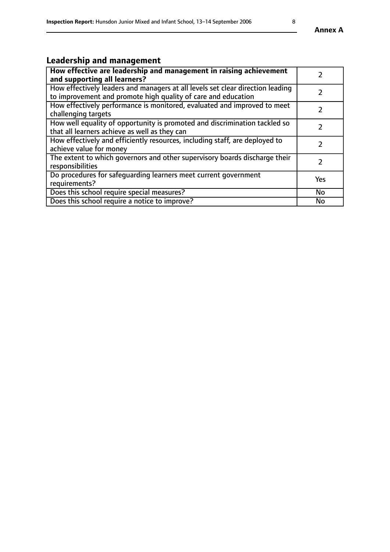# **Leadership and management**

| How effective are leadership and management in raising achievement<br>and supporting all learners?                                              |               |
|-------------------------------------------------------------------------------------------------------------------------------------------------|---------------|
| How effectively leaders and managers at all levels set clear direction leading<br>to improvement and promote high quality of care and education |               |
| How effectively performance is monitored, evaluated and improved to meet<br>challenging targets                                                 |               |
| How well equality of opportunity is promoted and discrimination tackled so<br>that all learners achieve as well as they can                     |               |
| How effectively and efficiently resources, including staff, are deployed to<br>achieve value for money                                          | $\mathcal{P}$ |
| The extent to which governors and other supervisory boards discharge their<br>responsibilities                                                  |               |
| Do procedures for safequarding learners meet current government<br>requirements?                                                                | Yes           |
| Does this school require special measures?                                                                                                      | No            |
| Does this school require a notice to improve?                                                                                                   | <b>No</b>     |